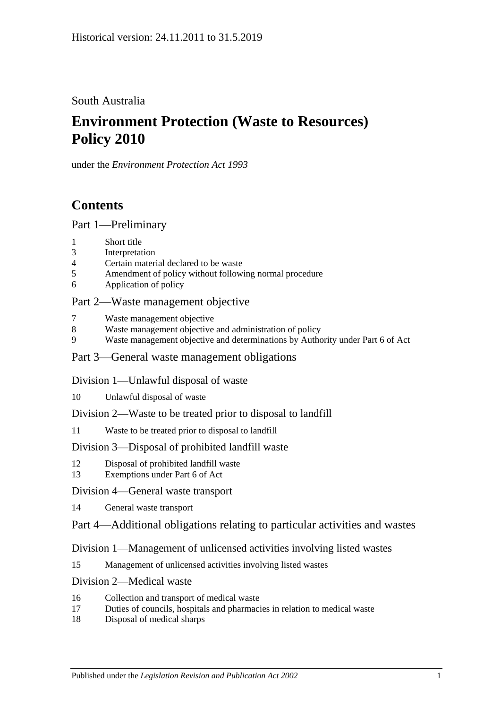South Australia

# **Environment Protection (Waste to Resources) Policy 2010**

under the *Environment Protection Act 1993*

# **Contents**

[Part 1—Preliminary](#page-1-0)

- 1 [Short title](#page-1-1)
- 3 [Interpretation](#page-1-2)
- 4 [Certain material declared to be waste](#page-5-0)
- 5 [Amendment of policy without following normal procedure](#page-5-1)
- 6 [Application of policy](#page-6-0)

### [Part 2—Waste management objective](#page-6-1)

- 7 [Waste management objective](#page-6-2)
- 8 [Waste management objective and administration of policy](#page-7-0)
- 9 [Waste management objective and determinations by Authority under](#page-7-1) Part 6 of Act

### [Part 3—General waste management obligations](#page-7-2)

### [Division 1—Unlawful disposal of waste](#page-7-3)

- 10 [Unlawful disposal of waste](#page-7-4)
- [Division 2—Waste to be treated prior to disposal to landfill](#page-9-0)
- 11 [Waste to be treated prior to disposal to landfill](#page-9-1)

### [Division 3—Disposal of prohibited landfill waste](#page-10-0)

- 12 [Disposal of prohibited landfill waste](#page-10-1)
- 13 [Exemptions under Part 6 of Act](#page-11-0)

### [Division 4—General waste transport](#page-11-1)

- 14 [General waste transport](#page-11-2)
- [Part 4—Additional obligations relating to particular activities and wastes](#page-12-0)

### [Division 1—Management of unlicensed activities involving listed wastes](#page-12-1)

15 [Management of unlicensed activities involving listed wastes](#page-12-2)

### [Division 2—Medical waste](#page-12-3)

- 16 [Collection and transport of medical waste](#page-12-4)
- 17 [Duties of councils, hospitals and pharmacies in relation to medical waste](#page-13-0)
- 18 [Disposal of medical sharps](#page-14-0)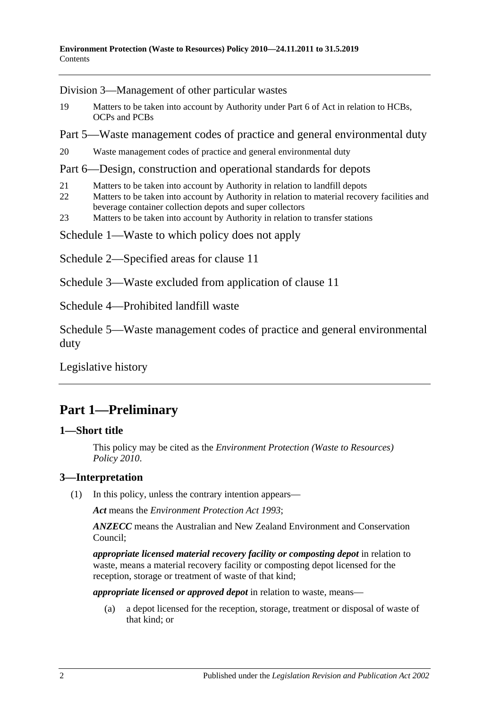[Division 3—Management of other particular wastes](#page-14-1)

- 19 [Matters to be taken into account by Authority under Part 6 of Act in relation to HCBs,](#page-14-2)  [OCPs and PCBs](#page-14-2)
- [Part 5—Waste management codes of practice and general environmental duty](#page-15-0)

20 [Waste management codes of practice and general environmental duty](#page-15-1)

### [Part 6—Design, construction and operational standards for depots](#page-16-0)

- 21 [Matters to be taken into account by Authority in relation to landfill depots](#page-16-1)
- 22 Matters to be taken into account by Authority in relation to material recovery facilities and [beverage container collection depots and super collectors](#page-16-2)
- 23 [Matters to be taken into account by Authority in relation to transfer stations](#page-16-3)

[Schedule 1—Waste to which policy does not apply](#page-17-0)

- [Schedule 2—Specified areas for clause](#page-17-1) 11
- [Schedule 3—Waste excluded from application of clause](#page-17-2) 11

[Schedule 4—Prohibited landfill waste](#page-18-0)

[Schedule 5—Waste management codes of practice and general environmental](#page-20-0)  [duty](#page-20-0)

[Legislative history](#page-21-0)

# <span id="page-1-0"></span>**Part 1—Preliminary**

### <span id="page-1-1"></span>**1—Short title**

This policy may be cited as the *[Environment Protection \(Waste to Resources\)](http://www.legislation.sa.gov.au/index.aspx?action=legref&type=subordleg&legtitle=Environment%20Protection%20(Waste%20to%20Resources)%20Policy%202010)  [Policy](http://www.legislation.sa.gov.au/index.aspx?action=legref&type=subordleg&legtitle=Environment%20Protection%20(Waste%20to%20Resources)%20Policy%202010) 2010*.

### <span id="page-1-3"></span><span id="page-1-2"></span>**3—Interpretation**

(1) In this policy, unless the contrary intention appears—

*Act* means the *[Environment Protection Act](http://www.legislation.sa.gov.au/index.aspx?action=legref&type=act&legtitle=Environment%20Protection%20Act%201993) 1993*;

*ANZECC* means the Australian and New Zealand Environment and Conservation Council;

*appropriate licensed material recovery facility or composting depot* in relation to waste, means a material recovery facility or composting depot licensed for the reception, storage or treatment of waste of that kind;

*appropriate licensed or approved depot* in relation to waste, means—

(a) a depot licensed for the reception, storage, treatment or disposal of waste of that kind; or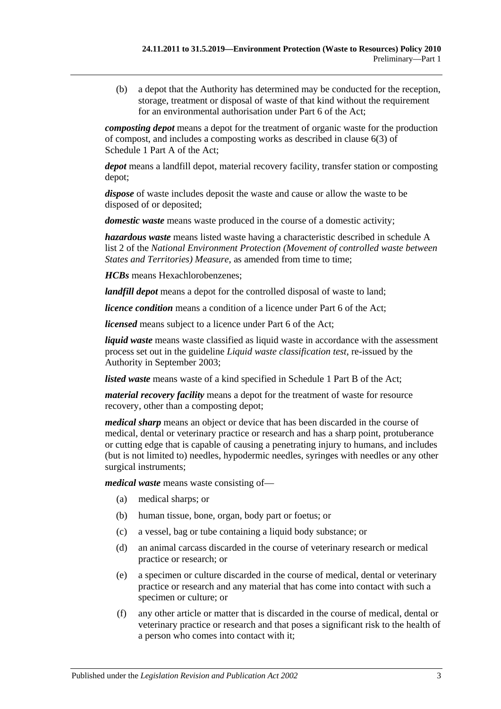(b) a depot that the Authority has determined may be conducted for the reception, storage, treatment or disposal of waste of that kind without the requirement for an environmental authorisation under Part 6 of the Act;

*composting depot* means a depot for the treatment of organic waste for the production of compost, and includes a composting works as described in clause 6(3) of Schedule 1 Part A of the Act;

*depot* means a landfill depot, material recovery facility, transfer station or composting depot;

*dispose* of waste includes deposit the waste and cause or allow the waste to be disposed of or deposited;

*domestic waste* means waste produced in the course of a domestic activity;

*hazardous waste* means listed waste having a characteristic described in schedule A list 2 of the *National Environment Protection (Movement of controlled waste between States and Territories) Measure*, as amended from time to time;

*HCBs* means Hexachlorobenzenes;

*landfill depot* means a depot for the controlled disposal of waste to land;

*licence condition* means a condition of a licence under Part 6 of the Act;

*licensed* means subject to a licence under Part 6 of the Act:

*liquid waste* means waste classified as liquid waste in accordance with the assessment process set out in the guideline *Liquid waste classification test*, re-issued by the Authority in September 2003;

*listed waste* means waste of a kind specified in Schedule 1 Part B of the Act;

*material recovery facility* means a depot for the treatment of waste for resource recovery, other than a composting depot;

*medical sharp* means an object or device that has been discarded in the course of medical, dental or veterinary practice or research and has a sharp point, protuberance or cutting edge that is capable of causing a penetrating injury to humans, and includes (but is not limited to) needles, hypodermic needles, syringes with needles or any other surgical instruments;

*medical waste* means waste consisting of—

- (a) medical sharps; or
- (b) human tissue, bone, organ, body part or foetus; or
- (c) a vessel, bag or tube containing a liquid body substance; or
- (d) an animal carcass discarded in the course of veterinary research or medical practice or research; or
- (e) a specimen or culture discarded in the course of medical, dental or veterinary practice or research and any material that has come into contact with such a specimen or culture; or
- (f) any other article or matter that is discarded in the course of medical, dental or veterinary practice or research and that poses a significant risk to the health of a person who comes into contact with it;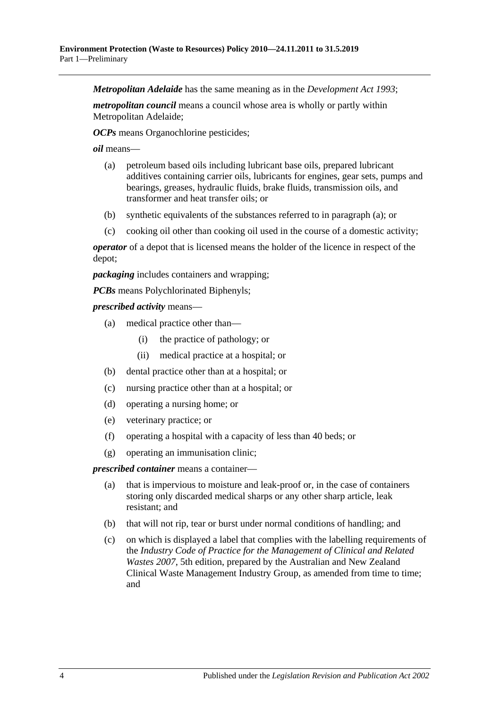*Metropolitan Adelaide* has the same meaning as in the *[Development Act](http://www.legislation.sa.gov.au/index.aspx?action=legref&type=act&legtitle=Development%20Act%201993) 1993*;

*metropolitan council* means a council whose area is wholly or partly within Metropolitan Adelaide;

*OCPs* means Organochlorine pesticides;

<span id="page-3-0"></span>*oil* means—

- (a) petroleum based oils including lubricant base oils, prepared lubricant additives containing carrier oils, lubricants for engines, gear sets, pumps and bearings, greases, hydraulic fluids, brake fluids, transmission oils, and transformer and heat transfer oils; or
- (b) synthetic equivalents of the substances referred to in [paragraph](#page-3-0) (a); or
- (c) cooking oil other than cooking oil used in the course of a domestic activity;

*operator* of a depot that is licensed means the holder of the licence in respect of the depot;

*packaging* includes containers and wrapping;

*PCBs* means Polychlorinated Biphenyls;

*prescribed activity* means—

- (a) medical practice other than—
	- (i) the practice of pathology; or
	- (ii) medical practice at a hospital; or
- (b) dental practice other than at a hospital; or
- (c) nursing practice other than at a hospital; or
- (d) operating a nursing home; or
- (e) veterinary practice; or
- (f) operating a hospital with a capacity of less than 40 beds; or
- (g) operating an immunisation clinic;

*prescribed container* means a container—

- (a) that is impervious to moisture and leak-proof or, in the case of containers storing only discarded medical sharps or any other sharp article, leak resistant; and
- (b) that will not rip, tear or burst under normal conditions of handling; and
- (c) on which is displayed a label that complies with the labelling requirements of the *Industry Code of Practice for the Management of Clinical and Related Wastes 2007*, 5th edition, prepared by the Australian and New Zealand Clinical Waste Management Industry Group, as amended from time to time; and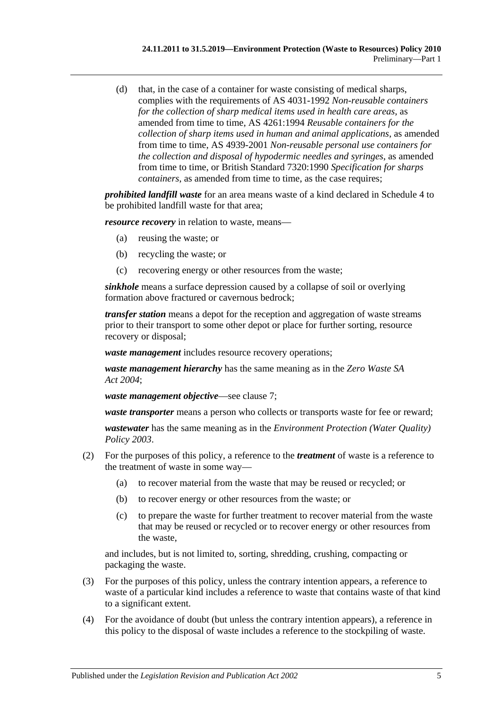(d) that, in the case of a container for waste consisting of medical sharps, complies with the requirements of AS 4031-1992 *Non-reusable containers for the collection of sharp medical items used in health care areas*, as amended from time to time, AS 4261:1994 *Reusable containers for the collection of sharp items used in human and animal applications*, as amended from time to time, AS 4939-2001 *Non-reusable personal use containers for the collection and disposal of hypodermic needles and syringes*, as amended from time to time, or British Standard 7320:1990 *Specification for sharps containers*, as amended from time to time, as the case requires;

*prohibited landfill waste* for an area means waste of a kind declared in [Schedule 4](#page-18-0) to be prohibited landfill waste for that area;

*resource recovery* in relation to waste, means—

- (a) reusing the waste; or
- (b) recycling the waste; or
- (c) recovering energy or other resources from the waste;

*sinkhole* means a surface depression caused by a collapse of soil or overlying formation above fractured or cavernous bedrock;

*transfer station* means a depot for the reception and aggregation of waste streams prior to their transport to some other depot or place for further sorting, resource recovery or disposal;

*waste management* includes resource recovery operations;

*waste management hierarchy* has the same meaning as in the *[Zero Waste SA](http://www.legislation.sa.gov.au/index.aspx?action=legref&type=act&legtitle=Zero%20Waste%20SA%20Act%202004)  Act [2004](http://www.legislation.sa.gov.au/index.aspx?action=legref&type=act&legtitle=Zero%20Waste%20SA%20Act%202004)*;

*waste management objective*—see [clause](#page-6-2) 7;

*waste transporter* means a person who collects or transports waste for fee or reward;

*wastewater* has the same meaning as in the *[Environment Protection \(Water Quality\)](http://www.legislation.sa.gov.au/index.aspx?action=legref&type=subordleg&legtitle=Environment%20Protection%20(Water%20Quality)%20Policy%202003)  [Policy](http://www.legislation.sa.gov.au/index.aspx?action=legref&type=subordleg&legtitle=Environment%20Protection%20(Water%20Quality)%20Policy%202003) 2003*.

- (2) For the purposes of this policy, a reference to the *treatment* of waste is a reference to the treatment of waste in some way—
	- (a) to recover material from the waste that may be reused or recycled; or
	- (b) to recover energy or other resources from the waste; or
	- (c) to prepare the waste for further treatment to recover material from the waste that may be reused or recycled or to recover energy or other resources from the waste,

and includes, but is not limited to, sorting, shredding, crushing, compacting or packaging the waste.

- (3) For the purposes of this policy, unless the contrary intention appears, a reference to waste of a particular kind includes a reference to waste that contains waste of that kind to a significant extent.
- (4) For the avoidance of doubt (but unless the contrary intention appears), a reference in this policy to the disposal of waste includes a reference to the stockpiling of waste.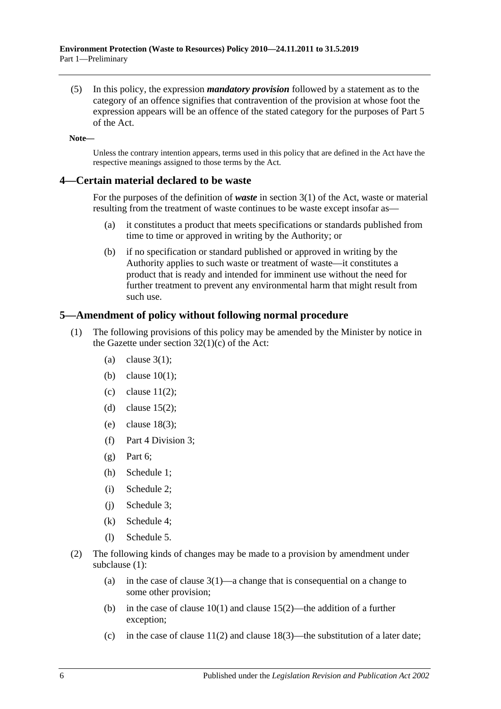(5) In this policy, the expression *mandatory provision* followed by a statement as to the category of an offence signifies that contravention of the provision at whose foot the expression appears will be an offence of the stated category for the purposes of Part 5 of the Act.

**Note—**

Unless the contrary intention appears, terms used in this policy that are defined in the Act have the respective meanings assigned to those terms by the Act.

### <span id="page-5-0"></span>**4—Certain material declared to be waste**

For the purposes of the definition of *waste* in section 3(1) of the Act, waste or material resulting from the treatment of waste continues to be waste except insofar as—

- (a) it constitutes a product that meets specifications or standards published from time to time or approved in writing by the Authority; or
- (b) if no specification or standard published or approved in writing by the Authority applies to such waste or treatment of waste—it constitutes a product that is ready and intended for imminent use without the need for further treatment to prevent any environmental harm that might result from such use.

### <span id="page-5-2"></span><span id="page-5-1"></span>**5—Amendment of policy without following normal procedure**

- (1) The following provisions of this policy may be amended by the Minister by notice in the Gazette under section  $32(1)(c)$  of the Act:
	- (a) [clause](#page-1-3)  $3(1)$ :
	- (b) [clause](#page-7-5) 10(1);
	- (c) [clause](#page-9-2)  $11(2)$ ;
	- (d) [clause](#page-12-5) 15(2);
	- (e) [clause](#page-14-3) 18(3);
	- (f) [Part 4 Division 3;](#page-14-1)
	- $(g)$  [Part 6;](#page-16-0)
	- (h) [Schedule 1;](#page-17-0)
	- (i) [Schedule 2;](#page-17-1)
	- (j) Schedule 3;
	- (k) [Schedule 4;](#page-18-0)
	- (l) [Schedule 5.](#page-20-0)
- <span id="page-5-4"></span><span id="page-5-3"></span>(2) The following kinds of changes may be made to a provision by amendment under [subclause](#page-5-2) (1):
	- (a) in the case of [clause](#page-1-3)  $3(1)$ —a change that is consequential on a change to some other provision;
	- (b) in the case of [clause](#page-12-5)  $10(1)$  and clause  $15(2)$ —the addition of a further exception;
	- (c) in the case of [clause](#page-14-3)  $11(2)$  and clause  $18(3)$ —the substitution of a later date;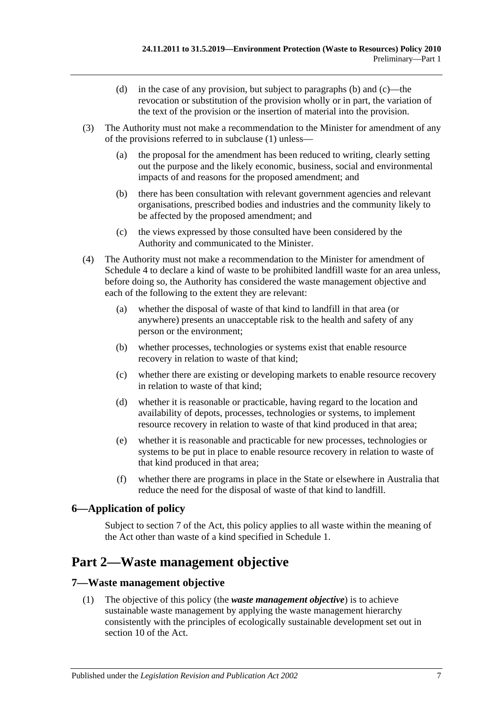- (d) in the case of any provision, but subject to [paragraphs](#page-5-3) (b) and [\(c\)—](#page-5-4)the revocation or substitution of the provision wholly or in part, the variation of the text of the provision or the insertion of material into the provision.
- (3) The Authority must not make a recommendation to the Minister for amendment of any of the provisions referred to in [subclause](#page-5-2) (1) unless—
	- (a) the proposal for the amendment has been reduced to writing, clearly setting out the purpose and the likely economic, business, social and environmental impacts of and reasons for the proposed amendment; and
	- (b) there has been consultation with relevant government agencies and relevant organisations, prescribed bodies and industries and the community likely to be affected by the proposed amendment; and
	- (c) the views expressed by those consulted have been considered by the Authority and communicated to the Minister.
- (4) The Authority must not make a recommendation to the Minister for amendment of [Schedule 4](#page-18-0) to declare a kind of waste to be prohibited landfill waste for an area unless, before doing so, the Authority has considered the waste management objective and each of the following to the extent they are relevant:
	- (a) whether the disposal of waste of that kind to landfill in that area (or anywhere) presents an unacceptable risk to the health and safety of any person or the environment;
	- (b) whether processes, technologies or systems exist that enable resource recovery in relation to waste of that kind;
	- (c) whether there are existing or developing markets to enable resource recovery in relation to waste of that kind;
	- (d) whether it is reasonable or practicable, having regard to the location and availability of depots, processes, technologies or systems, to implement resource recovery in relation to waste of that kind produced in that area;
	- (e) whether it is reasonable and practicable for new processes, technologies or systems to be put in place to enable resource recovery in relation to waste of that kind produced in that area;
	- (f) whether there are programs in place in the State or elsewhere in Australia that reduce the need for the disposal of waste of that kind to landfill.

### <span id="page-6-0"></span>**6—Application of policy**

Subject to section 7 of the Act, this policy applies to all waste within the meaning of the Act other than waste of a kind specified in [Schedule 1.](#page-17-0)

## <span id="page-6-1"></span>**Part 2—Waste management objective**

### <span id="page-6-2"></span>**7—Waste management objective**

(1) The objective of this policy (the *waste management objective*) is to achieve sustainable waste management by applying the waste management hierarchy consistently with the principles of ecologically sustainable development set out in section 10 of the Act.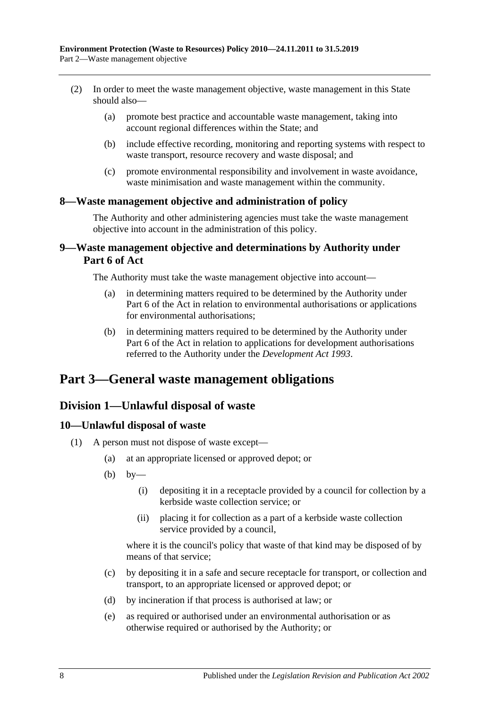- (2) In order to meet the waste management objective, waste management in this State should also—
	- (a) promote best practice and accountable waste management, taking into account regional differences within the State; and
	- (b) include effective recording, monitoring and reporting systems with respect to waste transport, resource recovery and waste disposal; and
	- (c) promote environmental responsibility and involvement in waste avoidance, waste minimisation and waste management within the community.

### <span id="page-7-0"></span>**8—Waste management objective and administration of policy**

The Authority and other administering agencies must take the waste management objective into account in the administration of this policy.

### <span id="page-7-1"></span>**9—Waste management objective and determinations by Authority under Part 6 of Act**

The Authority must take the waste management objective into account—

- (a) in determining matters required to be determined by the Authority under Part 6 of the Act in relation to environmental authorisations or applications for environmental authorisations;
- (b) in determining matters required to be determined by the Authority under Part 6 of the Act in relation to applications for development authorisations referred to the Authority under the *[Development Act](http://www.legislation.sa.gov.au/index.aspx?action=legref&type=act&legtitle=Development%20Act%201993) 1993*.

## <span id="page-7-3"></span><span id="page-7-2"></span>**Part 3—General waste management obligations**

### **Division 1—Unlawful disposal of waste**

### <span id="page-7-5"></span><span id="page-7-4"></span>**10—Unlawful disposal of waste**

- <span id="page-7-6"></span>(1) A person must not dispose of waste except—
	- (a) at an appropriate licensed or approved depot; or
	- $(b)$  by—
		- (i) depositing it in a receptacle provided by a council for collection by a kerbside waste collection service; or
		- (ii) placing it for collection as a part of a kerbside waste collection service provided by a council,

where it is the council's policy that waste of that kind may be disposed of by means of that service;

- (c) by depositing it in a safe and secure receptacle for transport, or collection and transport, to an appropriate licensed or approved depot; or
- (d) by incineration if that process is authorised at law; or
- (e) as required or authorised under an environmental authorisation or as otherwise required or authorised by the Authority; or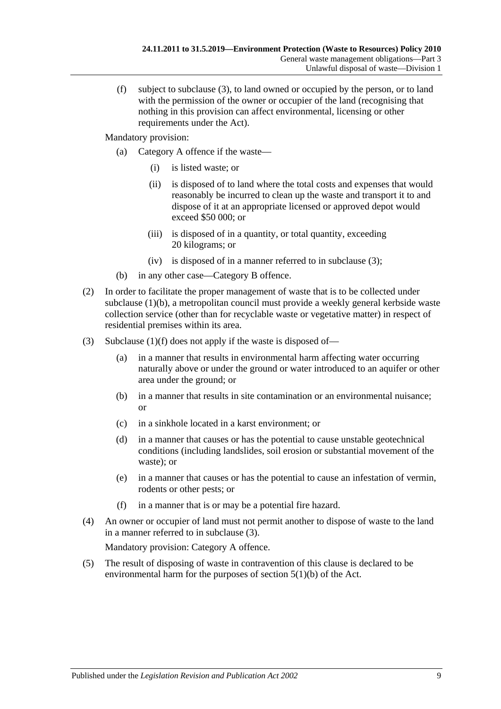<span id="page-8-1"></span>(f) subject to [subclause](#page-8-0) (3), to land owned or occupied by the person, or to land with the permission of the owner or occupier of the land (recognising that nothing in this provision can affect environmental, licensing or other requirements under the Act).

Mandatory provision:

- (a) Category A offence if the waste—
	- (i) is listed waste; or
	- (ii) is disposed of to land where the total costs and expenses that would reasonably be incurred to clean up the waste and transport it to and dispose of it at an appropriate licensed or approved depot would exceed \$50 000; or
	- (iii) is disposed of in a quantity, or total quantity, exceeding 20 kilograms; or
	- (iv) is disposed of in a manner referred to in [subclause](#page-8-0) (3);
- (b) in any other case—Category B offence.
- (2) In order to facilitate the proper management of waste that is to be collected under [subclause](#page-7-6) (1)(b), a metropolitan council must provide a weekly general kerbside waste collection service (other than for recyclable waste or vegetative matter) in respect of residential premises within its area.
- <span id="page-8-0"></span>(3) [Subclause](#page-8-1)  $(1)(f)$  does not apply if the waste is disposed of—
	- (a) in a manner that results in environmental harm affecting water occurring naturally above or under the ground or water introduced to an aquifer or other area under the ground; or
	- (b) in a manner that results in site contamination or an environmental nuisance; or
	- (c) in a sinkhole located in a karst environment; or
	- (d) in a manner that causes or has the potential to cause unstable geotechnical conditions (including landslides, soil erosion or substantial movement of the waste); or
	- (e) in a manner that causes or has the potential to cause an infestation of vermin, rodents or other pests; or
	- (f) in a manner that is or may be a potential fire hazard.
- (4) An owner or occupier of land must not permit another to dispose of waste to the land in a manner referred to in [subclause](#page-8-0) (3).

Mandatory provision: Category A offence.

(5) The result of disposing of waste in contravention of this clause is declared to be environmental harm for the purposes of section 5(1)(b) of the Act.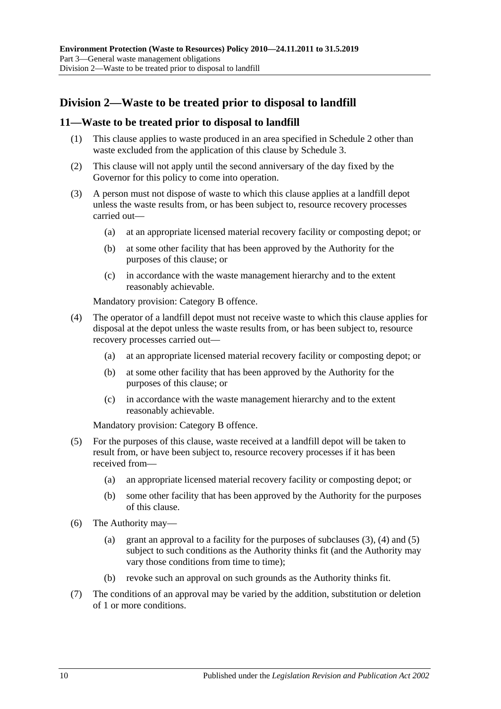### <span id="page-9-0"></span>**Division 2—Waste to be treated prior to disposal to landfill**

### <span id="page-9-1"></span>**11—Waste to be treated prior to disposal to landfill**

- (1) This clause applies to waste produced in an area specified in [Schedule 2](#page-17-1) other than waste excluded from the application of this clause by Schedule 3.
- <span id="page-9-2"></span>(2) This clause will not apply until the second anniversary of the day fixed by the Governor for this policy to come into operation.
- <span id="page-9-3"></span>(3) A person must not dispose of waste to which this clause applies at a landfill depot unless the waste results from, or has been subject to, resource recovery processes carried out—
	- (a) at an appropriate licensed material recovery facility or composting depot; or
	- (b) at some other facility that has been approved by the Authority for the purposes of this clause; or
	- (c) in accordance with the waste management hierarchy and to the extent reasonably achievable.

Mandatory provision: Category B offence.

- <span id="page-9-4"></span>(4) The operator of a landfill depot must not receive waste to which this clause applies for disposal at the depot unless the waste results from, or has been subject to, resource recovery processes carried out—
	- (a) at an appropriate licensed material recovery facility or composting depot; or
	- (b) at some other facility that has been approved by the Authority for the purposes of this clause; or
	- (c) in accordance with the waste management hierarchy and to the extent reasonably achievable.

Mandatory provision: Category B offence.

- <span id="page-9-5"></span>(5) For the purposes of this clause, waste received at a landfill depot will be taken to result from, or have been subject to, resource recovery processes if it has been received from—
	- (a) an appropriate licensed material recovery facility or composting depot; or
	- (b) some other facility that has been approved by the Authority for the purposes of this clause.
- <span id="page-9-6"></span>(6) The Authority may
	- (a) grant an approval to a facility for the purposes of [subclauses](#page-9-3)  $(3)$ ,  $(4)$  and  $(5)$ subject to such conditions as the Authority thinks fit (and the Authority may vary those conditions from time to time);
	- (b) revoke such an approval on such grounds as the Authority thinks fit.
- (7) The conditions of an approval may be varied by the addition, substitution or deletion of 1 or more conditions.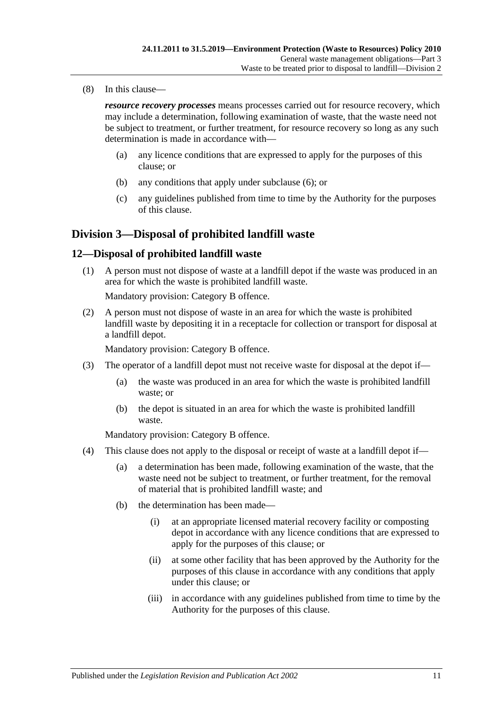(8) In this clause—

*resource recovery processes* means processes carried out for resource recovery, which may include a determination, following examination of waste, that the waste need not be subject to treatment, or further treatment, for resource recovery so long as any such determination is made in accordance with—

- (a) any licence conditions that are expressed to apply for the purposes of this clause; or
- (b) any conditions that apply under [subclause](#page-9-6) (6); or
- (c) any guidelines published from time to time by the Authority for the purposes of this clause.

### <span id="page-10-0"></span>**Division 3—Disposal of prohibited landfill waste**

### <span id="page-10-1"></span>**12—Disposal of prohibited landfill waste**

(1) A person must not dispose of waste at a landfill depot if the waste was produced in an area for which the waste is prohibited landfill waste.

Mandatory provision: Category B offence.

(2) A person must not dispose of waste in an area for which the waste is prohibited landfill waste by depositing it in a receptacle for collection or transport for disposal at a landfill depot.

Mandatory provision: Category B offence.

- <span id="page-10-2"></span>(3) The operator of a landfill depot must not receive waste for disposal at the depot if—
	- (a) the waste was produced in an area for which the waste is prohibited landfill waste; or
	- (b) the depot is situated in an area for which the waste is prohibited landfill waste.

Mandatory provision: Category B offence.

- <span id="page-10-3"></span>(4) This clause does not apply to the disposal or receipt of waste at a landfill depot if—
	- (a) a determination has been made, following examination of the waste, that the waste need not be subject to treatment, or further treatment, for the removal of material that is prohibited landfill waste; and
	- (b) the determination has been made—
		- (i) at an appropriate licensed material recovery facility or composting depot in accordance with any licence conditions that are expressed to apply for the purposes of this clause; or
		- (ii) at some other facility that has been approved by the Authority for the purposes of this clause in accordance with any conditions that apply under this clause; or
		- (iii) in accordance with any guidelines published from time to time by the Authority for the purposes of this clause.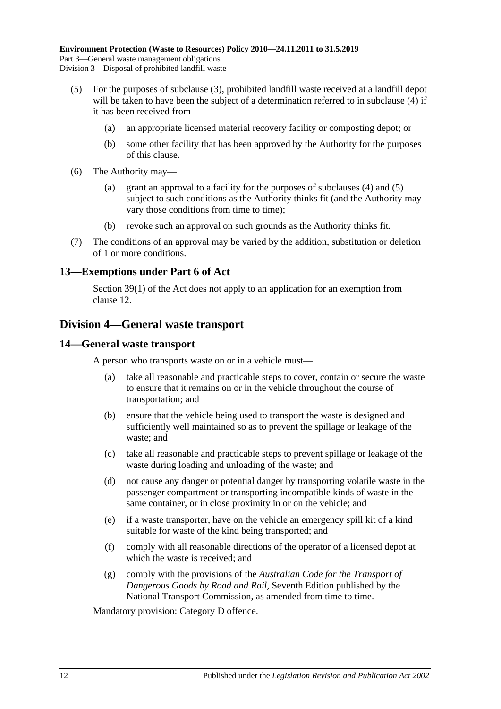- <span id="page-11-3"></span>(5) For the purposes of [subclause](#page-10-2) (3), prohibited landfill waste received at a landfill depot will be taken to have been the subject of a determination referred to in [subclause](#page-10-3) (4) if it has been received from—
	- (a) an appropriate licensed material recovery facility or composting depot; or
	- (b) some other facility that has been approved by the Authority for the purposes of this clause.
- (6) The Authority may—
	- (a) grant an approval to a facility for the purposes of [subclauses](#page-10-3) (4) and [\(5\)](#page-11-3) subject to such conditions as the Authority thinks fit (and the Authority may vary those conditions from time to time);
	- (b) revoke such an approval on such grounds as the Authority thinks fit.
- (7) The conditions of an approval may be varied by the addition, substitution or deletion of 1 or more conditions.

### <span id="page-11-0"></span>**13—Exemptions under Part 6 of Act**

Section 39(1) of the Act does not apply to an application for an exemption from [clause](#page-10-1) 12.

### <span id="page-11-1"></span>**Division 4—General waste transport**

#### <span id="page-11-2"></span>**14—General waste transport**

A person who transports waste on or in a vehicle must—

- (a) take all reasonable and practicable steps to cover, contain or secure the waste to ensure that it remains on or in the vehicle throughout the course of transportation; and
- (b) ensure that the vehicle being used to transport the waste is designed and sufficiently well maintained so as to prevent the spillage or leakage of the waste; and
- (c) take all reasonable and practicable steps to prevent spillage or leakage of the waste during loading and unloading of the waste; and
- (d) not cause any danger or potential danger by transporting volatile waste in the passenger compartment or transporting incompatible kinds of waste in the same container, or in close proximity in or on the vehicle; and
- (e) if a waste transporter, have on the vehicle an emergency spill kit of a kind suitable for waste of the kind being transported; and
- (f) comply with all reasonable directions of the operator of a licensed depot at which the waste is received; and
- (g) comply with the provisions of the *Australian Code for the Transport of Dangerous Goods by Road and Rail*, Seventh Edition published by the National Transport Commission, as amended from time to time.

Mandatory provision: Category D offence.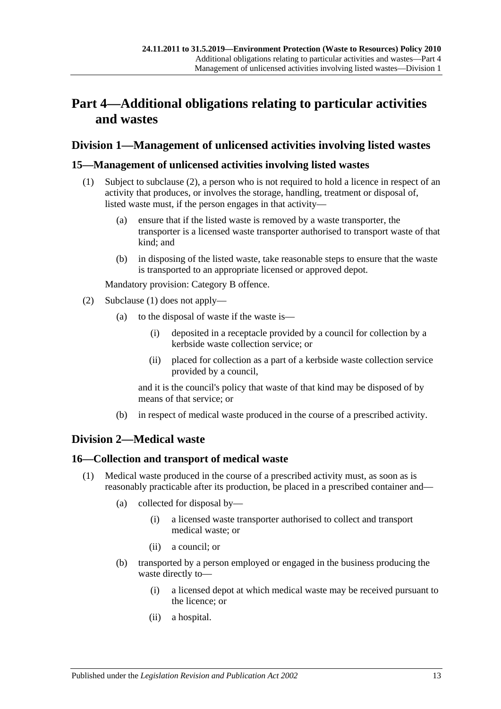# <span id="page-12-0"></span>**Part 4—Additional obligations relating to particular activities and wastes**

### <span id="page-12-1"></span>**Division 1—Management of unlicensed activities involving listed wastes**

### <span id="page-12-6"></span><span id="page-12-2"></span>**15—Management of unlicensed activities involving listed wastes**

- (1) Subject to [subclause](#page-12-5) (2), a person who is not required to hold a licence in respect of an activity that produces, or involves the storage, handling, treatment or disposal of, listed waste must, if the person engages in that activity—
	- (a) ensure that if the listed waste is removed by a waste transporter, the transporter is a licensed waste transporter authorised to transport waste of that kind; and
	- (b) in disposing of the listed waste, take reasonable steps to ensure that the waste is transported to an appropriate licensed or approved depot.

Mandatory provision: Category B offence.

- <span id="page-12-5"></span>(2) [Subclause](#page-12-6) (1) does not apply—
	- (a) to the disposal of waste if the waste is—
		- (i) deposited in a receptacle provided by a council for collection by a kerbside waste collection service; or
		- (ii) placed for collection as a part of a kerbside waste collection service provided by a council,

and it is the council's policy that waste of that kind may be disposed of by means of that service; or

(b) in respect of medical waste produced in the course of a prescribed activity.

### <span id="page-12-3"></span>**Division 2—Medical waste**

### <span id="page-12-7"></span><span id="page-12-4"></span>**16—Collection and transport of medical waste**

- (1) Medical waste produced in the course of a prescribed activity must, as soon as is reasonably practicable after its production, be placed in a prescribed container and—
	- (a) collected for disposal by—
		- (i) a licensed waste transporter authorised to collect and transport medical waste; or
		- (ii) a council; or
	- (b) transported by a person employed or engaged in the business producing the waste directly to—
		- (i) a licensed depot at which medical waste may be received pursuant to the licence; or
		- (ii) a hospital.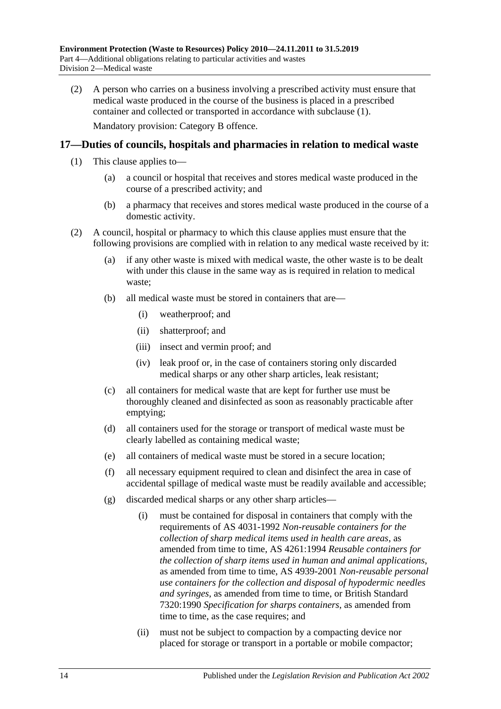(2) A person who carries on a business involving a prescribed activity must ensure that medical waste produced in the course of the business is placed in a prescribed container and collected or transported in accordance with [subclause](#page-12-7) (1). Mandatory provision: Category B offence.

### <span id="page-13-0"></span>**17—Duties of councils, hospitals and pharmacies in relation to medical waste**

- (1) This clause applies to—
	- (a) a council or hospital that receives and stores medical waste produced in the course of a prescribed activity; and
	- (b) a pharmacy that receives and stores medical waste produced in the course of a domestic activity.
- (2) A council, hospital or pharmacy to which this clause applies must ensure that the following provisions are complied with in relation to any medical waste received by it:
	- (a) if any other waste is mixed with medical waste, the other waste is to be dealt with under this clause in the same way as is required in relation to medical waste;
	- (b) all medical waste must be stored in containers that are—
		- (i) weatherproof; and
		- (ii) shatterproof; and
		- (iii) insect and vermin proof; and
		- (iv) leak proof or, in the case of containers storing only discarded medical sharps or any other sharp articles, leak resistant;
	- (c) all containers for medical waste that are kept for further use must be thoroughly cleaned and disinfected as soon as reasonably practicable after emptying;
	- (d) all containers used for the storage or transport of medical waste must be clearly labelled as containing medical waste;
	- (e) all containers of medical waste must be stored in a secure location;
	- (f) all necessary equipment required to clean and disinfect the area in case of accidental spillage of medical waste must be readily available and accessible;
	- (g) discarded medical sharps or any other sharp articles—
		- (i) must be contained for disposal in containers that comply with the requirements of AS 4031-1992 *Non-reusable containers for the collection of sharp medical items used in health care areas*, as amended from time to time, AS 4261:1994 *Reusable containers for the collection of sharp items used in human and animal applications*, as amended from time to time, AS 4939-2001 *Non-reusable personal use containers for the collection and disposal of hypodermic needles and syringes*, as amended from time to time, or British Standard 7320:1990 *Specification for sharps containers*, as amended from time to time, as the case requires; and
		- (ii) must not be subject to compaction by a compacting device nor placed for storage or transport in a portable or mobile compactor;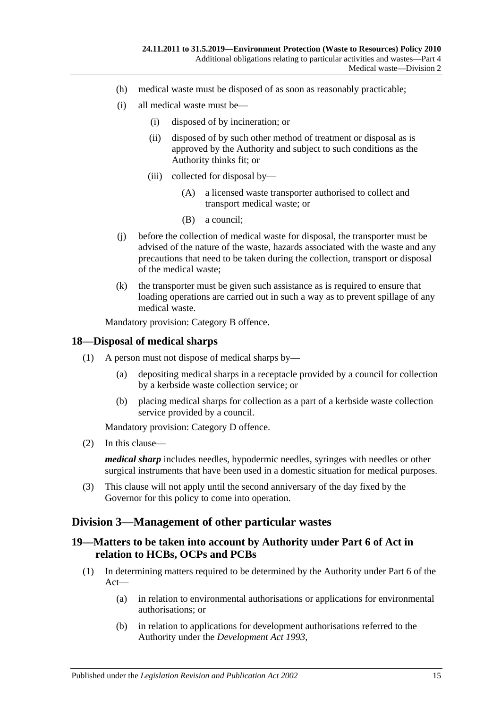- (h) medical waste must be disposed of as soon as reasonably practicable;
- (i) all medical waste must be—
	- (i) disposed of by incineration; or
	- (ii) disposed of by such other method of treatment or disposal as is approved by the Authority and subject to such conditions as the Authority thinks fit; or
	- (iii) collected for disposal by—
		- (A) a licensed waste transporter authorised to collect and transport medical waste; or
		- (B) a council;
- (j) before the collection of medical waste for disposal, the transporter must be advised of the nature of the waste, hazards associated with the waste and any precautions that need to be taken during the collection, transport or disposal of the medical waste;
- (k) the transporter must be given such assistance as is required to ensure that loading operations are carried out in such a way as to prevent spillage of any medical waste.

Mandatory provision: Category B offence.

#### <span id="page-14-0"></span>**18—Disposal of medical sharps**

- (1) A person must not dispose of medical sharps by—
	- (a) depositing medical sharps in a receptacle provided by a council for collection by a kerbside waste collection service; or
	- (b) placing medical sharps for collection as a part of a kerbside waste collection service provided by a council.

Mandatory provision: Category D offence.

(2) In this clause—

*medical sharp* includes needles, hypodermic needles, syringes with needles or other surgical instruments that have been used in a domestic situation for medical purposes.

<span id="page-14-3"></span>(3) This clause will not apply until the second anniversary of the day fixed by the Governor for this policy to come into operation.

#### <span id="page-14-1"></span>**Division 3—Management of other particular wastes**

### <span id="page-14-2"></span>**19—Matters to be taken into account by Authority under Part 6 of Act in relation to HCBs, OCPs and PCBs**

- (1) In determining matters required to be determined by the Authority under Part 6 of the Act—
	- (a) in relation to environmental authorisations or applications for environmental authorisations; or
	- (b) in relation to applications for development authorisations referred to the Authority under the *[Development Act](http://www.legislation.sa.gov.au/index.aspx?action=legref&type=act&legtitle=Development%20Act%201993) 1993*,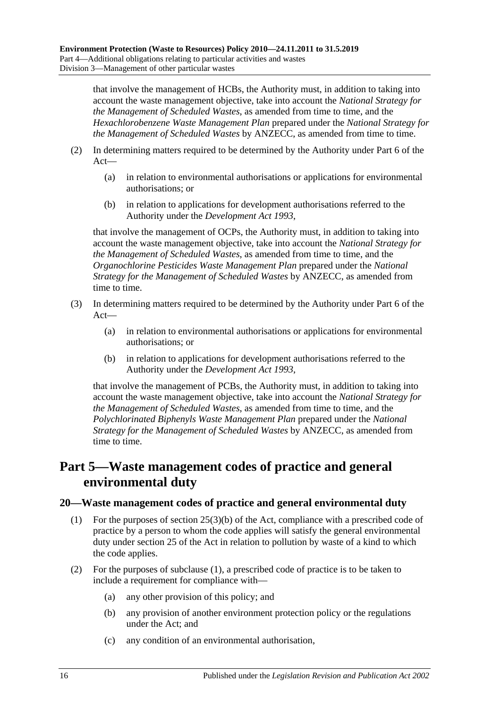that involve the management of HCBs, the Authority must, in addition to taking into account the waste management objective, take into account the *National Strategy for the Management of Scheduled Wastes*, as amended from time to time, and the *Hexachlorobenzene Waste Management Plan* prepared under the *National Strategy for the Management of Scheduled Wastes* by ANZECC, as amended from time to time.

- (2) In determining matters required to be determined by the Authority under Part 6 of the Act—
	- (a) in relation to environmental authorisations or applications for environmental authorisations; or
	- (b) in relation to applications for development authorisations referred to the Authority under the *[Development Act](http://www.legislation.sa.gov.au/index.aspx?action=legref&type=act&legtitle=Development%20Act%201993) 1993*,

that involve the management of OCPs, the Authority must, in addition to taking into account the waste management objective, take into account the *National Strategy for the Management of Scheduled Wastes*, as amended from time to time, and the *Organochlorine Pesticides Waste Management Plan* prepared under the *National Strategy for the Management of Scheduled Wastes* by ANZECC, as amended from time to time.

- (3) In determining matters required to be determined by the Authority under Part 6 of the Act—
	- (a) in relation to environmental authorisations or applications for environmental authorisations; or
	- (b) in relation to applications for development authorisations referred to the Authority under the *[Development Act](http://www.legislation.sa.gov.au/index.aspx?action=legref&type=act&legtitle=Development%20Act%201993) 1993*,

that involve the management of PCBs, the Authority must, in addition to taking into account the waste management objective, take into account the *National Strategy for the Management of Scheduled Wastes*, as amended from time to time, and the *Polychlorinated Biphenyls Waste Management Plan* prepared under the *National Strategy for the Management of Scheduled Wastes* by ANZECC, as amended from time to time.

# <span id="page-15-0"></span>**Part 5—Waste management codes of practice and general environmental duty**

### <span id="page-15-2"></span><span id="page-15-1"></span>**20—Waste management codes of practice and general environmental duty**

- (1) For the purposes of section 25(3)(b) of the Act, compliance with a prescribed code of practice by a person to whom the code applies will satisfy the general environmental duty under section 25 of the Act in relation to pollution by waste of a kind to which the code applies.
- (2) For the purposes of [subclause](#page-15-2) (1), a prescribed code of practice is to be taken to include a requirement for compliance with—
	- (a) any other provision of this policy; and
	- (b) any provision of another environment protection policy or the regulations under the Act; and
	- (c) any condition of an environmental authorisation,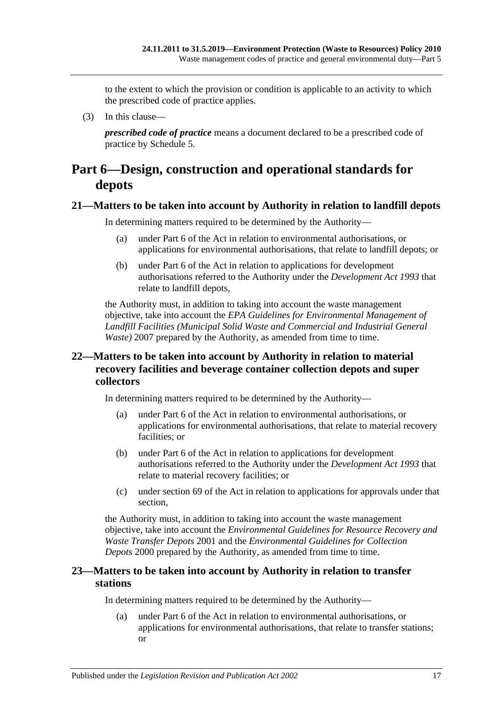to the extent to which the provision or condition is applicable to an activity to which the prescribed code of practice applies.

(3) In this clause—

*prescribed code of practice* means a document declared to be a prescribed code of practice by [Schedule 5.](#page-20-0)

## <span id="page-16-0"></span>**Part 6—Design, construction and operational standards for depots**

### <span id="page-16-1"></span>**21—Matters to be taken into account by Authority in relation to landfill depots**

In determining matters required to be determined by the Authority—

- (a) under Part 6 of the Act in relation to environmental authorisations, or applications for environmental authorisations, that relate to landfill depots; or
- (b) under Part 6 of the Act in relation to applications for development authorisations referred to the Authority under the *[Development Act](http://www.legislation.sa.gov.au/index.aspx?action=legref&type=act&legtitle=Development%20Act%201993) 1993* that relate to landfill depots,

the Authority must, in addition to taking into account the waste management objective, take into account the *EPA Guidelines for Environmental Management of Landfill Facilities (Municipal Solid Waste and Commercial and Industrial General Waste*) 2007 prepared by the Authority, as amended from time to time.

### <span id="page-16-2"></span>**22—Matters to be taken into account by Authority in relation to material recovery facilities and beverage container collection depots and super collectors**

In determining matters required to be determined by the Authority—

- (a) under Part 6 of the Act in relation to environmental authorisations, or applications for environmental authorisations, that relate to material recovery facilities; or
- (b) under Part 6 of the Act in relation to applications for development authorisations referred to the Authority under the *[Development Act](http://www.legislation.sa.gov.au/index.aspx?action=legref&type=act&legtitle=Development%20Act%201993) 1993* that relate to material recovery facilities; or
- (c) under section 69 of the Act in relation to applications for approvals under that section,

the Authority must, in addition to taking into account the waste management objective, take into account the *Environmental Guidelines for Resource Recovery and Waste Transfer Depots* 2001 and the *Environmental Guidelines for Collection Depots* 2000 prepared by the Authority, as amended from time to time.

### <span id="page-16-3"></span>**23—Matters to be taken into account by Authority in relation to transfer stations**

In determining matters required to be determined by the Authority—

(a) under Part 6 of the Act in relation to environmental authorisations, or applications for environmental authorisations, that relate to transfer stations; or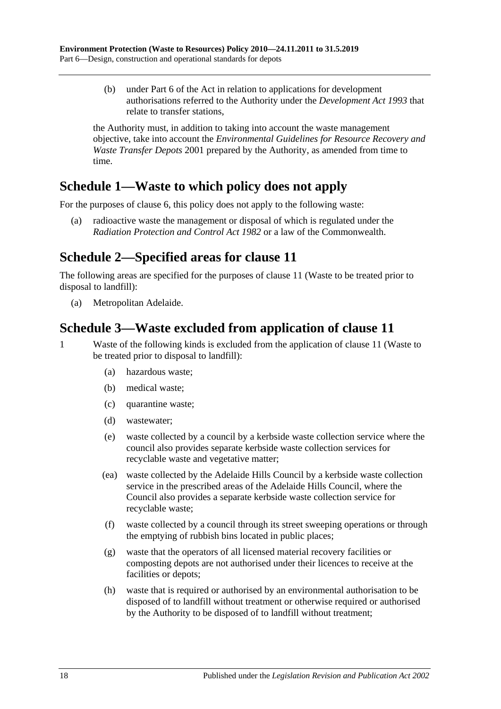(b) under Part 6 of the Act in relation to applications for development authorisations referred to the Authority under the *[Development Act](http://www.legislation.sa.gov.au/index.aspx?action=legref&type=act&legtitle=Development%20Act%201993) 1993* that relate to transfer stations,

the Authority must, in addition to taking into account the waste management objective, take into account the *Environmental Guidelines for Resource Recovery and Waste Transfer Depots* 2001 prepared by the Authority, as amended from time to time.

# <span id="page-17-0"></span>**Schedule 1—Waste to which policy does not apply**

For the purposes of [clause](#page-6-0) 6, this policy does not apply to the following waste:

(a) radioactive waste the management or disposal of which is regulated under the *[Radiation Protection and Control Act](http://www.legislation.sa.gov.au/index.aspx?action=legref&type=act&legtitle=Radiation%20Protection%20and%20Control%20Act%201982) 1982* or a law of the Commonwealth.

# <span id="page-17-1"></span>**Schedule 2—Specified areas for [clause](#page-9-1) 11**

The following areas are specified for the purposes of [clause](#page-9-1) 11 (Waste to be treated prior to disposal to landfill):

(a) Metropolitan Adelaide.

## <span id="page-17-2"></span>**Schedule 3—Waste excluded from application of [clause](#page-9-1) 11**

- 1 Waste of the following kinds is excluded from the application of [clause](#page-9-1) 11 (Waste to be treated prior to disposal to landfill):
	- (a) hazardous waste;
	- (b) medical waste;
	- (c) quarantine waste;
	- (d) wastewater;
	- (e) waste collected by a council by a kerbside waste collection service where the council also provides separate kerbside waste collection services for recyclable waste and vegetative matter;
	- (ea) waste collected by the Adelaide Hills Council by a kerbside waste collection service in the prescribed areas of the Adelaide Hills Council, where the Council also provides a separate kerbside waste collection service for recyclable waste;
	- (f) waste collected by a council through its street sweeping operations or through the emptying of rubbish bins located in public places;
	- (g) waste that the operators of all licensed material recovery facilities or composting depots are not authorised under their licences to receive at the facilities or depots;
	- (h) waste that is required or authorised by an environmental authorisation to be disposed of to landfill without treatment or otherwise required or authorised by the Authority to be disposed of to landfill without treatment;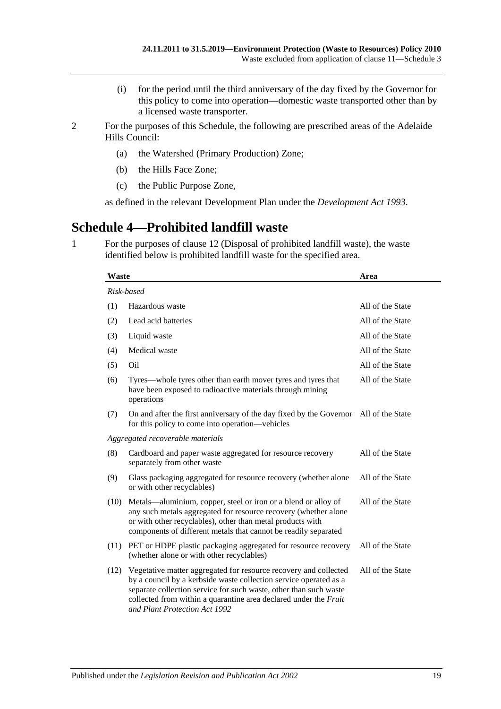- (i) for the period until the third anniversary of the day fixed by the Governor for this policy to come into operation—domestic waste transported other than by a licensed waste transporter.
- 2 For the purposes of this Schedule, the following are prescribed areas of the Adelaide Hills Council:
	- (a) the Watershed (Primary Production) Zone;
	- (b) the Hills Face Zone;
	- (c) the Public Purpose Zone,

as defined in the relevant Development Plan under the *[Development Act](http://www.legislation.sa.gov.au/index.aspx?action=legref&type=act&legtitle=Development%20Act%201993) 1993*.

## <span id="page-18-0"></span>**Schedule 4—Prohibited landfill waste**

<span id="page-18-1"></span>1 For the purposes of [clause](#page-10-1) 12 (Disposal of prohibited landfill waste), the waste identified below is prohibited landfill waste for the specified area.

| <b>Waste</b>                     |                                                                                                                                                                                                                                                                                                                 | Area             |  |  |
|----------------------------------|-----------------------------------------------------------------------------------------------------------------------------------------------------------------------------------------------------------------------------------------------------------------------------------------------------------------|------------------|--|--|
| Risk-based                       |                                                                                                                                                                                                                                                                                                                 |                  |  |  |
| (1)                              | Hazardous waste                                                                                                                                                                                                                                                                                                 | All of the State |  |  |
| (2)                              | Lead acid batteries                                                                                                                                                                                                                                                                                             | All of the State |  |  |
| (3)                              | Liquid waste                                                                                                                                                                                                                                                                                                    | All of the State |  |  |
| (4)                              | Medical waste                                                                                                                                                                                                                                                                                                   | All of the State |  |  |
| (5)                              | Oil                                                                                                                                                                                                                                                                                                             | All of the State |  |  |
| (6)                              | Tyres—whole tyres other than earth mover tyres and tyres that<br>have been exposed to radioactive materials through mining<br>operations                                                                                                                                                                        | All of the State |  |  |
| (7)                              | On and after the first anniversary of the day fixed by the Governor All of the State<br>for this policy to come into operation—vehicles                                                                                                                                                                         |                  |  |  |
| Aggregated recoverable materials |                                                                                                                                                                                                                                                                                                                 |                  |  |  |
| (8)                              | Cardboard and paper waste aggregated for resource recovery<br>separately from other waste                                                                                                                                                                                                                       | All of the State |  |  |
| (9)                              | Glass packaging aggregated for resource recovery (whether alone<br>or with other recyclables)                                                                                                                                                                                                                   | All of the State |  |  |
| (10)                             | Metals—aluminium, copper, steel or iron or a blend or alloy of<br>any such metals aggregated for resource recovery (whether alone<br>or with other recyclables), other than metal products with<br>components of different metals that cannot be readily separated                                              | All of the State |  |  |
| (11)                             | PET or HDPE plastic packaging aggregated for resource recovery<br>(whether alone or with other recyclables)                                                                                                                                                                                                     | All of the State |  |  |
| (12)                             | Vegetative matter aggregated for resource recovery and collected<br>by a council by a kerbside waste collection service operated as a<br>separate collection service for such waste, other than such waste<br>collected from within a quarantine area declared under the Fruit<br>and Plant Protection Act 1992 | All of the State |  |  |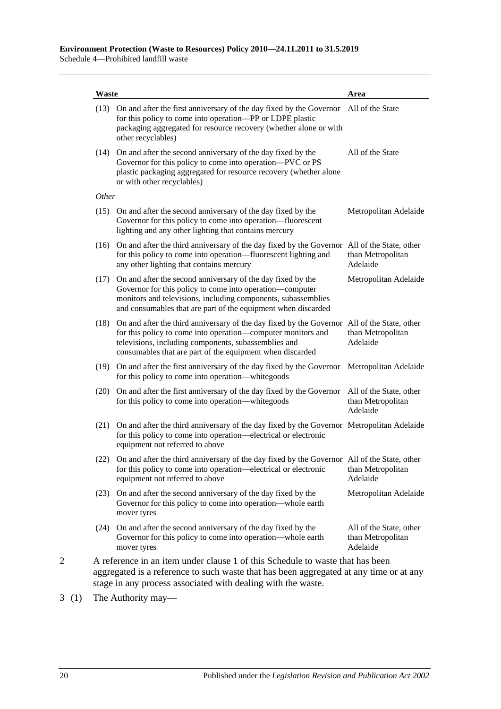Schedule 4—Prohibited landfill waste

| Waste |                                                                                                                                                                                                                                                                                  | Area                                                     |
|-------|----------------------------------------------------------------------------------------------------------------------------------------------------------------------------------------------------------------------------------------------------------------------------------|----------------------------------------------------------|
|       | (13) On and after the first anniversary of the day fixed by the Governor All of the State<br>for this policy to come into operation-PP or LDPE plastic<br>packaging aggregated for resource recovery (whether alone or with<br>other recyclables)                                |                                                          |
| (14)  | On and after the second anniversary of the day fixed by the<br>Governor for this policy to come into operation—PVC or PS<br>plastic packaging aggregated for resource recovery (whether alone<br>or with other recyclables)                                                      | All of the State                                         |
| Other |                                                                                                                                                                                                                                                                                  |                                                          |
| (15)  | On and after the second anniversary of the day fixed by the<br>Governor for this policy to come into operation—fluorescent<br>lighting and any other lighting that contains mercury                                                                                              | Metropolitan Adelaide                                    |
|       | (16) On and after the third anniversary of the day fixed by the Governor All of the State, other<br>for this policy to come into operation-fluorescent lighting and<br>any other lighting that contains mercury                                                                  | than Metropolitan<br>Adelaide                            |
|       | (17) On and after the second anniversary of the day fixed by the<br>Governor for this policy to come into operation—computer<br>monitors and televisions, including components, subassemblies<br>and consumables that are part of the equipment when discarded                   | Metropolitan Adelaide                                    |
| (18)  | On and after the third anniversary of the day fixed by the Governor All of the State, other<br>for this policy to come into operation—computer monitors and<br>televisions, including components, subassemblies and<br>consumables that are part of the equipment when discarded | than Metropolitan<br>Adelaide                            |
|       | (19) On and after the first anniversary of the day fixed by the Governor<br>for this policy to come into operation—white goods                                                                                                                                                   | Metropolitan Adelaide                                    |
| (20)  | On and after the first anniversary of the day fixed by the Governor<br>for this policy to come into operation—white goods                                                                                                                                                        | All of the State, other<br>than Metropolitan<br>Adelaide |
| (21)  | On and after the third anniversary of the day fixed by the Governor Metropolitan Adelaide<br>for this policy to come into operation—electrical or electronic<br>equipment not referred to above                                                                                  |                                                          |
|       | (22) On and after the third anniversary of the day fixed by the Governor All of the State, other<br>for this policy to come into operation—electrical or electronic<br>equipment not referred to above                                                                           | than Metropolitan<br>Adelaide                            |
|       | (23) On and after the second anniversary of the day fixed by the<br>Governor for this policy to come into operation—whole earth<br>mover tyres                                                                                                                                   | Metropolitan Adelaide                                    |
|       | (24) On and after the second anniversary of the day fixed by the<br>Governor for this policy to come into operation—whole earth<br>mover tyres                                                                                                                                   | All of the State, other<br>than Metropolitan<br>Adelaide |

stage in any process associated with dealing with the waste.

3 (1) The Authority may—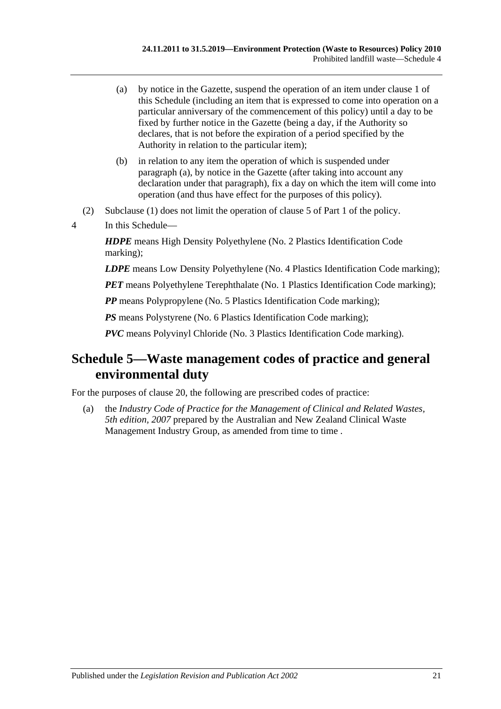- <span id="page-20-1"></span>(a) by notice in the Gazette, suspend the operation of an item under [clause](#page-18-1) 1 of this Schedule (including an item that is expressed to come into operation on a particular anniversary of the commencement of this policy) until a day to be fixed by further notice in the Gazette (being a day, if the Authority so declares, that is not before the expiration of a period specified by the Authority in relation to the particular item);
- (b) in relation to any item the operation of which is suspended under [paragraph](#page-20-1) (a), by notice in the Gazette (after taking into account any declaration under that paragraph), fix a day on which the item will come into operation (and thus have effect for the purposes of this policy).
- (2) Subclause (1) does not limit the operation of [clause](#page-5-1) 5 of [Part 1](#page-1-0) of the policy.
- 4 In this Schedule—

*HDPE* means High Density Polyethylene (No. 2 Plastics Identification Code marking);

*LDPE* means Low Density Polyethylene (No. 4 Plastics Identification Code marking);

*PET* means Polyethylene Terephthalate (No. 1 Plastics Identification Code marking);

*PP* means Polypropylene (No. 5 Plastics Identification Code marking);

*PS* means Polystyrene (No. 6 Plastics Identification Code marking);

*PVC* means Polyvinyl Chloride (No. 3 Plastics Identification Code marking).

# <span id="page-20-0"></span>**Schedule 5—Waste management codes of practice and general environmental duty**

For the purposes of [clause](#page-15-1) 20, the following are prescribed codes of practice:

(a) the *Industry Code of Practice for the Management of Clinical and Related Wastes, 5th edition, 2007* prepared by the Australian and New Zealand Clinical Waste Management Industry Group, as amended from time to time.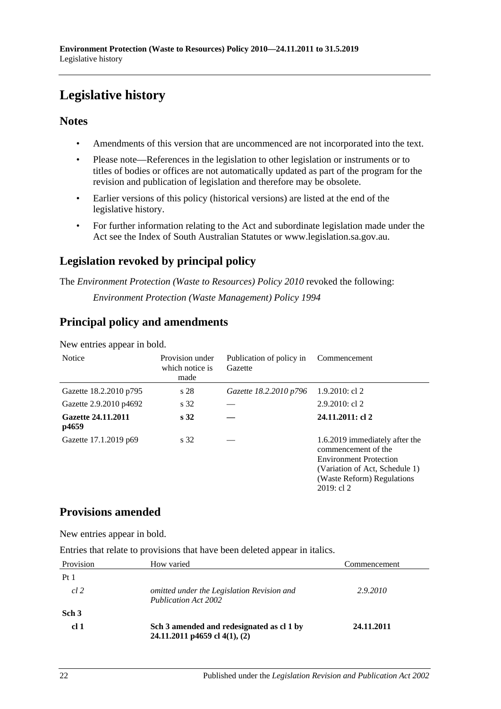# <span id="page-21-0"></span>**Legislative history**

### **Notes**

- Amendments of this version that are uncommenced are not incorporated into the text.
- Please note—References in the legislation to other legislation or instruments or to titles of bodies or offices are not automatically updated as part of the program for the revision and publication of legislation and therefore may be obsolete.
- Earlier versions of this policy (historical versions) are listed at the end of the legislative history.
- For further information relating to the Act and subordinate legislation made under the Act see the Index of South Australian Statutes or www.legislation.sa.gov.au.

## **Legislation revoked by principal policy**

The *Environment Protection (Waste to Resources) Policy 2010* revoked the following:

*Environment Protection (Waste Management) Policy 1994*

## **Principal policy and amendments**

New entries appear in bold.

| <b>Notice</b>               | Provision under<br>which notice is<br>made | Publication of policy in<br>Gazette | Commencement                                                                                                                                                             |
|-----------------------------|--------------------------------------------|-------------------------------------|--------------------------------------------------------------------------------------------------------------------------------------------------------------------------|
| Gazette 18.2.2010 p795      | s 28                                       | Gazette 18.2.2010 p796              | $1.9.2010$ : cl 2                                                                                                                                                        |
| Gazette 2.9.2010 p4692      | s 32                                       |                                     | $2.9.2010$ : cl 2                                                                                                                                                        |
| Gazette 24.11.2011<br>p4659 | s <sub>32</sub>                            |                                     | 24.11.2011: cl 2                                                                                                                                                         |
| Gazette 17.1.2019 p69       | s 32                                       |                                     | 1.6.2019 immediately after the<br>commencement of the<br><b>Environment Protection</b><br>(Variation of Act, Schedule 1)<br>(Waste Reform) Regulations<br>$2019:$ cl $2$ |

### **Provisions amended**

New entries appear in bold.

Entries that relate to provisions that have been deleted appear in italics.

| Provision        | How varied                                                                 | Commencement |
|------------------|----------------------------------------------------------------------------|--------------|
| Pt <sub>1</sub>  |                                                                            |              |
| cl 2             | omitted under the Legislation Revision and<br><b>Publication Act 2002</b>  | 2.9.2010     |
| Sch <sub>3</sub> |                                                                            |              |
| cl <sub>1</sub>  | Sch 3 amended and redesignated as cl 1 by<br>24.11.2011 p4659 cl 4(1), (2) | 24.11.2011   |